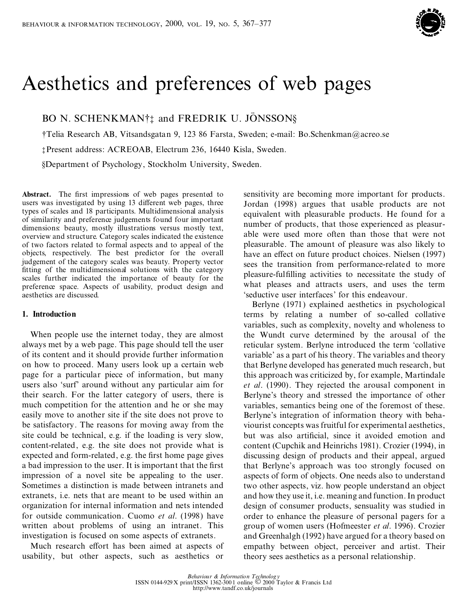

# Aesthetics and preferences of web pages

BO N. SCHENKMAN<sup>†</sup><sup>†</sup> and FREDRIK U. JÖNSSON§

²Telia Research AB, Vitsandsgatan 9, 123 86 Farsta, Sweden; e-mail: Bo.Schenkman@acreo.se

³ Present address: ACREOAB, Electrum 236, 16440 Kisla, Sweden.

§Department of Psychology, Stockholm University, Sweden.

Abstract. The first impressions of web pages presented to users was investigated by using 13 different web pages, three types of scales and 18 participants. Multidimensional analysis of similarity and preference judgements found four important dimensions: beauty, mostly illustrations versus mostly text, overview and structure. Category scales indicated the existence of two factors related to formal aspects and to appeal of the objects, respectively. The best predictor for the overall judgement of the category scales was beauty. Property vector fitting of the multidimensional solutions with the category scales further indicated the importance of beauty for the preference space. Aspects of usability, product design and aesthetics are discussed.

## **1. Introduction**

When people use the internet today, they are almost always met by a web page. This page should tell the user of its content and it should provide further information on how to proceed. Many users look up a certain web page for a particular piece of information, but many users also `surf' around without any particular aim for their search. For the latter category of users, there is much competition for the attention and he or she may easily move to another site if the site does not prove to be satisfactory. The reasons for moving away from the site could be technical, e.g. if the loading is very slow, content-related, e.g. the site does not provide what is expected and form-related, e.g. the first home page gives a bad impression to the user. It is important that the first impression of a novel site be appealing to the user. Sometimes a distinction is made between intranets and extranets, i.e. nets that are meant to be used within an organization for internal information and nets intended for outside communication. Cuomo *et al*. (1998) have written about problems of using an intranet. This investigation is focused on some aspects of extranets.

Much research effort has been aimed at aspects of usability, but other aspects, such as aesthetics or

sensitivity are becoming more important for products. Jordan (1998) argues that usable products are not equivalent with pleasurable products. He found for a number of products, that those experienced as pleasur able were used more often than those that were not pleasurable. The amount of pleasure was also likely to have an effect on future product choices. Nielsen (1997) sees the transition from performance-related to more pleasure-fulfilling activities to necessitate the study of what pleases and attracts users, and uses the term `seductive user interfaces' for this endeavour.

Berlyne (1971) explained aesthetics in psychological terms by relating a number of so-called collative variables, such as complexity, novelty and wholeness to the Wundt curve determined by the arousal of the reticular system. Berlyne introduced the term `collative variable' as a part of his theory. The variables and theory that Berlyne developed has generated much research, but this approach was criticized by, for example, Martindale *et al*. (1990). They rejected the arousal component in Berlyne's theory and stressed the importance of other variables, semantics being one of the foremost of these. Berlyne's integration of information theory with beha viourist concepts was fruitful for experimental aesthetics, but was also artificial, since it avoided emotion and content (Cupchik and Heinrichs 1981). Crozier (1994), in discussing design of products and their appeal, argued that Berlyne's approach was too strongly focused on aspects of form of objects. One needs also to understand two other aspects, viz. how people understand an object and how they use it, i.e. meaning and function.In product design of consumer products, sensuality was studied in order to enhance the pleasure of personal pagers for a group of women users (Hofmeester *et al*. 1996). Crozier and Greenhalgh (1992) have argued for a theory based on empathy between object, perceiver and artist. Their theory sees aesthetics as a personal relationship.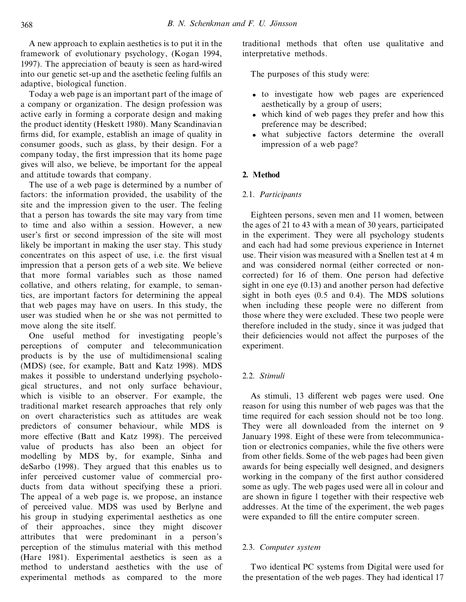A new approach to explain aesthetics is to put it in the framework of evolutionary psychology, (Kogan 1994, 1997). The appreciation of beauty is seen as hard-wired into our genetic set-up and the asethetic feeling fulfils an adaptive, biological function.

Today a web page is an important part of the image of a company or organization. The design profession was active early in forming a corporate design and making the product identity (Heskett 1980). Many Scandinavian firms did, for example, establish an image of quality in consumer goods, such as glass, by their design. For a company today, the first impression that its home page gives will also, we believe, be important for the appeal and attitude towards that company.

The use of a web page is determined by a number of factors: the information provided, the usability of the site and the impression given to the user. The feeling that a person has towards the site may vary from time to time and also within a session. However, a new user's first or second impression of the site will most likely be important in making the user stay. This study  $\overrightarrow{c}$  concentrates on this aspect of use, i.e. the first visual impression that a person gets of a web site. We believe that more formal variables such as those named collative, and others relating, for example, to semantics, are important factors for determining the appeal that web pages may have on users. In this study, the user was studied when he or she was not permitted to move along the site itself.

One useful method for investigating people's perceptions of computer and telecommunication products is by the use of multidimensional scaling (MDS) (see, for example, Batt and Katz 1998). MDS makes it possible to understand underlying psycholo gical structures, and not only surface behaviour, which is visible to an observer. For example, the traditional market research approaches that rely only on overt characteristics such as attitudes are weak predictors of consumer behaviour, while MDS is more effective (Batt and Katz 1998). The perceived value of products has also been an object for modelling by MDS by, for example, Sinha and deSarbo (1998). They argued that this enables us to infer perceived customer value of commercial pro ducts from data without specifying these a priori. The appeal of a web page is, we propose, an instance of perceived value. MDS was used by Berlyne and his group in studying experimental aesthetics as one of their approaches, since they might discover attributes that were predominant in a person's perception of the stimulus material with this method (Hare 1981). Experimental aesthetics is seen as a method to understand aesthetics with the use of experimental methods as compared to the more

traditional methods that often use qualitative and interpretative methods.

The purposes of this study were:

- · to investigate how web pages are experienced aesthetically by a group of users;
- which kind of web pages they prefer and how this preference may be described;
- · what subjective factors determine the overall impression of a web page?

## **2. Method**

### 2.1. *Participants*

Eighteen persons, seven men and 11 women, between the ages of 21 to 43 with a mean of 30 years, participated in the experiment. They were all psychology students and each had had some previous experience in Internet use. Their vision was measured with a Snellen test at 4 m and was considered normal (either corrected or non corrected) for 16 of them. One person had defective sight in one eye (0.13) and another person had defective sight in both eyes (0.5 and 0.4). The MDS solutions when including these people were no different from those where they were excluded. These two people were therefore included in the study, since it was judged that their deficiencies would not affect the purposes of the experiment.

## 2.2. *Stimuli*

As stimuli, 13 different web pages were used. One reason for using this number of web pages was that the time required for each session should not be too long. They were all downloaded from the internet on 9 January 1998. Eight of these were from telecommunication or electronics companies, while the five others were from other fields. Some of the web pages had been given awards for being especially well designed, and designers working in the company of the first author considered some as ugly. The web pages used were all in colour and are shown in figure 1 together with their respective web addresses. At the time of the experiment, the web pages were expanded to fill the entire computer screen.

## 2.3. *Computer system*

Two identical PC systems from Digital were used for the presentation of the web pages. They had identical 17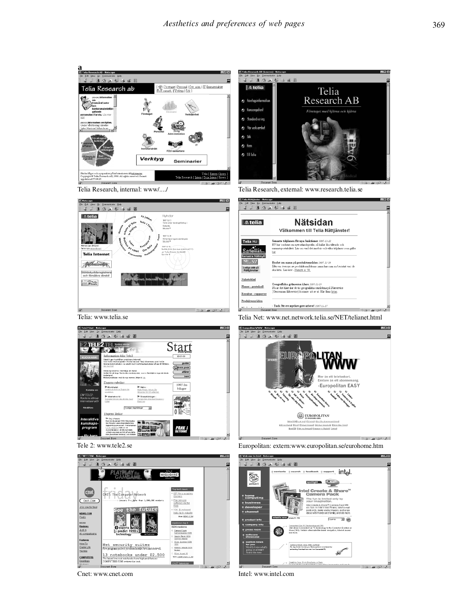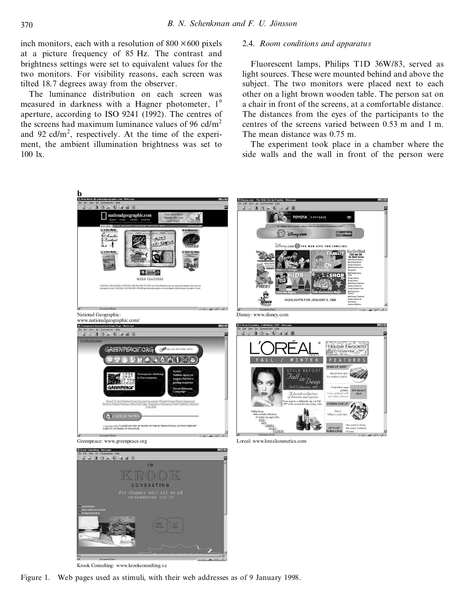inch monitors, each with a resolution of  $800 \times 600$  pixels at a picture frequency of 85 Hz. The contrast and brightness settings were set to equivalent values for the two monitors. For visibility reasons, each screen was tilted 18.7 degrees away from the observer.

The luminance distribution on each screen was measured in darkness with a Hagner photometer, 1<sup>°</sup> aperture, according to ISO 9241 (1992). The centres of the screens had maximum luminance values of 96 cd/ $m<sup>2</sup>$ and 92 cd/ $m^2$ , respectively. At the time of the experiment, the ambient illumination brightness was set to 100 lx.

#### 2.4. *Room conditions and apparatus*

Fluorescent lamps, Philips T1D 36W/83, served as light sources. These were mounted behind and above the subject. The two monitors were placed next to each other on a light brown wooden table. The person sat on a chair in front of the screens, at a comfortable distance. The distances from the eyes of the participants to the centres of the screens varied between 0.53 m and 1 m. The mean distance was 0.75 m.

The experiment took place in a chamber where the side walls and the wall in front of the person were



Krook Consulting: www.krookconsulting.s e

Figure 1. Web pages used as stimuli, with their web addresses as of 9 January 1998.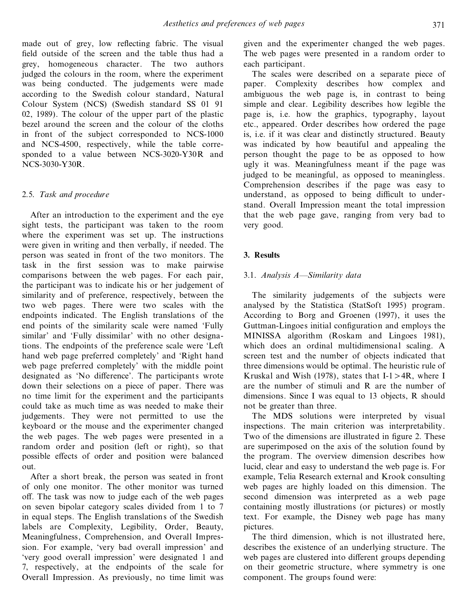made out of grey, low reflecting fabric. The visual field outside of the screen and the table thus had a grey, homogeneous character. The two authors judged the colours in the room, where the experiment was being conducted. The judgements were made according to the Swedish colour standard, Natural Colour System (NCS) (Swedish standard SS 01 91 02, 1989). The colour of the upper part of the plastic bezel around the screen and the colour of the cloths in front of the subject corresponded to NCS-1000 and NCS-4500, respectively, while the table corresponded to a value between NCS-3020-Y30R and NCS-3030-Y30R.

# 2.5. *Task and procedure*

After an introduction to the experiment and the eye sight tests, the participant was taken to the room where the experiment was set up. The instructions were given in writing and then verbally, if needed. The person was seated in front of the two monitors. The task in the first session was to make pairwise comparisons between the web pages. For each pair, the participant was to indicate his or her judgement of similarity and of preference, respectively, between the two web pages. There were two scales with the endpoints indicated. The English translations of the end points of the similarity scale were named `Fully similar' and 'Fully dissimilar' with no other designations. The endpoints of the preference scale were `Left hand web page preferred completely' and 'Right hand web page preferred completely' with the middle point designated as 'No difference'. The participants wrote down their selections on a piece of paper. There was no time limit for the experiment and the participants could take as much time as was needed to make their judgements. They were not permitted to use the keyboard or the mouse and the experimenter changed the web pages. The web pages were presented in a random order and position (left or right), so that possible effects of order and position were balanced out.

After a short break, the person was seated in front of only one monitor. The other monitor was turned off. The task was now to judge each of the web pages on seven bipolar category scales divided from 1 to 7 in equal steps. The English translations of the Swedish labels are Complexity, Legibility, Order, Beauty, Meaningfulness, Comprehension, and Overall Impression. For example, `very bad overall impression' and `very good overall impression' were designated 1 and 7, respectively, at the endpoints of the scale for Overall Impression. As previously, no time limit was

given and the experimenter changed the web pages. The web pages were presented in a random order to each participant.

The scales were described on a separate piece of paper. Complexity describes how complex and ambiguous the web page is, in contrast to being simple and clear. Legibility describes how legible the page is, i.e. how the graphics, typography, layout etc., appeared. Order describes how ordered the page is, i.e. if it was clear and distinctly structured. Beauty was indicated by how beautiful and appealing the person thought the page to be as opposed to how ugly it was. Meaningfulness meant if the page was judged to be meaningful, as opposed to meaningless. Comprehension describes if the page was easy to understand, as opposed to being difficult to understand. Overall Impression meant the total impression that the web page gave, ranging from very bad to very good.

# **3. Results**

# 3.1. *Analysis A-Similarity data*

The similarity judgements of the subjects were analysed by the Statistica (StatSoft 1995) program. According to Borg and Groenen (1997), it uses the Guttman-Lingoes initial configuration and employs the MINISSA algorithm (Roskam and Lingoes 1981), which does an ordinal multidimensional scaling. A screen test and the number of objects indicated that three dimensions would be optimal. The heuristic rule of Kruskal and Wish (1978), states that  $I-1 > 4R$ , where I are the number of stimuli and R are the number of dimensions. Since I was equal to 13 objects, R should not be greater than three.

The MDS solutions were interpreted by visual inspections. The main criterion was interpretability. Two of the dimensions are illustrated in figure 2. These are superimposed on the axis of the solution found by the program. The overview dimension describes how lucid, clear and easy to understand the web page is. For example, Telia Research external and Krook consulting web pages are highly loaded on this dimension. The second dimension was interpreted as a web page containing mostly illustrations (or pictures) or mostly text. For example, the Disney web page has many pictures.

The third dimension, which is not illustrated here, describes the existence of an underlying structure. The web pages are clustered into different groups depending on their geometric structure, where symmetry is one component. The groups found were: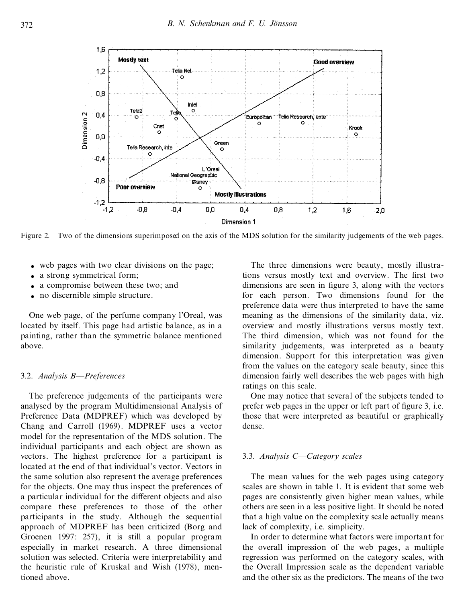

Figure 2. Two of the dimensions superimposed on the axis of the MDS solution for the similarity judgements of the web pages.

- · web pages with two clear divisions on the page;
- a strong symmetrical form;
- a compromise between these two: and
- no discernible simple structure.

One web page, of the perfume company l'Oreal, was located by itself. This page had artistic balance, as in a painting, rather than the symmetric balance mentioned above.

## 3.2. *Analysis B*—Preferences

The preference judgements of the participants were analysed by the program Multidimensional Analysis of Preference Data (MDPREF) which was developed by Chang and Carroll (1969). MDPREF uses a vector model for the representation of the MDS solution. The individual participants and each object are shown as vectors. The highest preference for a participant is located at the end of that individual's vector. Vectors in the same solution also represent the average preferences for the objects. One may thus inspect the preferences of a particular individual for the different objects and also compare these preferences to those of the other participants in the study. Although the sequential approach of MDPREF has been criticized (Borg and Groenen 1997: 257), it is still a popular program especially in market research. A three dimensional solution was selected. Criteria were interpretability and the heuristic rule of Kruskal and Wish (1978), mentioned above.

The three dimensions were beauty, mostly illustrations versus mostly text and overview. The first two dimensions are seen in figure 3, along with the vectors for each person. Two dimensions found for the preference data were thus interpreted to have the same meaning as the dimensions of the similarity data, viz. overview and mostly illustrations versus mostly text. The third dimension, which was not found for the similarity judgements, was interpreted as a beauty dimension. Support for this interpretation was given from the values on the category scale beauty, since this dimension fairly well describes the web pages with high ratings on this scale.

One may notice that several of the subjects tended to prefer web pages in the upper or left part of figure 3, i.e. those that were interpreted as beautiful or graphically dense.

## 3.3. *Analysis* C-Category scales

The mean values for the web pages using category scales are shown in table 1. It is evident that some web pages are consistently given higher mean values, while others are seen in a less positive light. It should be noted that a high value on the complexity scale actually means lack of complexity, i.e. simplicity.

In order to determine what factors were important for the overall impression of the web pages, a multiple regression was performed on the category scales, with the Overall Impression scale as the dependent variable and the other six as the predictors. The means of the two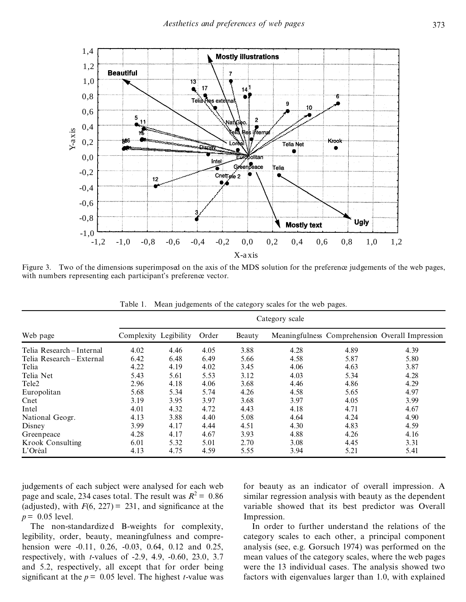

Figure 3. Two of the dimensions superimposed on the axis of the MDS solution for the preference judgements of the web pages, with numbers representing each participant's preference vector.

|                         | Category scale        |      |       |        |      |      |                                                 |
|-------------------------|-----------------------|------|-------|--------|------|------|-------------------------------------------------|
| Web page                | Complexity Legibility |      | Order | Beauty |      |      | Meaningfulness Comprehension Overall Impression |
| Telia Research-Internal | 4.02                  | 4.46 | 4.05  | 3.88   | 4.28 | 4.89 | 4.39                                            |
| Telia Research-External | 6.42                  | 6.48 | 6.49  | 5.66   | 4.58 | 5.87 | 5.80                                            |
| Telia                   | 4.22                  | 4.19 | 4.02  | 3.45   | 4.06 | 4.63 | 3.87                                            |
| Telia Net               | 5.43                  | 5.61 | 5.53  | 3.12   | 4.03 | 5.34 | 4.28                                            |
| Tele2                   | 2.96                  | 4.18 | 4.06  | 3.68   | 4.46 | 4.86 | 4.29                                            |
| Europolitan             | 5.68                  | 5.34 | 5.74  | 4.26   | 4.58 | 5.65 | 4.97                                            |
| Cnet                    | 3.19                  | 3.95 | 3.97  | 3.68   | 3.97 | 4.05 | 3.99                                            |
| Intel                   | 4.01                  | 4.32 | 4.72  | 4.43   | 4.18 | 4.71 | 4.67                                            |
| National Geogr.         | 4.13                  | 3.88 | 4.40  | 5.08   | 4.64 | 4.24 | 4.90                                            |
| Disney                  | 3.99                  | 4.17 | 4.44  | 4.51   | 4.30 | 4.83 | 4.59                                            |
| Greenpeace              | 4.28                  | 4.17 | 4.67  | 3.93   | 4.88 | 4.26 | 4.16                                            |
| Krook Consulting        | 6.01                  | 5.32 | 5.01  | 2.70   | 3.08 | 4.45 | 3.31                                            |
| L'Oréal                 | 4.13                  | 4.75 | 4.59  | 5.55   | 3.94 | 5.21 | 5.41                                            |

Table 1. Mean judgements of the category scales for the web pages.

judgements of each subject were analysed for each web page and scale, 234 cases total. The result was  $R^2 = 0.86$ (adjusted), with  $F(6, 227) = 231$ , and significance at the  $p = 0.05$  level.

The non-standardized B-weights for complexity, legibility, order, beauty, meaningfulness and compre hension were -0.11, 0.26, -0.03, 0.64, 0.12 and 0.25, respectively, with *t*-values of -2.9, 4.9, -0.60, 23.0, 3.7 and 5.2, respectively, all except that for order being significant at the  $p = 0.05$  level. The highest *t*-value was for beauty as an indicator of overall impression. A similar regression analysis with beauty as the dependent variable showed that its best predictor was Overall Impression.

In order to further understand the relations of the category scales to each other, a principal component analysis (see, e.g. Gorsuch 1974) was performed on the mean values of the category scales, where the web pages were the 13 individual cases. The analysis showed two factors with eigenvalues larger than 1.0, with explained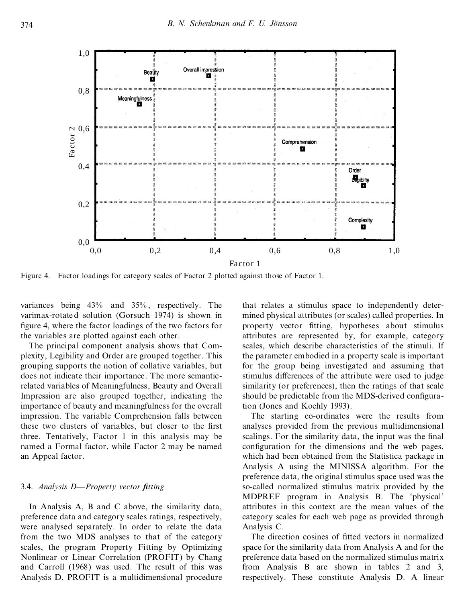

Figure 4. Factor loadings for category scales of Factor 2 plotted against those of Factor 1.

variances being 43% and 35% , respectively. The varimax-rotate d solution (Gorsuch 1974) is shown in figure 4, where the factor loadings of the two factors for the variables are plotted against each other.

The principal component analysis shows that Com plexity, Legibility and Order are grouped together. This grouping supports the notion of collative variables, but does not indicate their importance. The more semanticrelated variables of Meaningfulness, Beauty and Overall Impression are also grouped together, indicating the importance of beauty and meaningfulness for the overall impression. The variable Comprehension falls between these two clusters of variables, but closer to the first three. Tentatively, Factor 1 in this analysis may be named a Formal factor, while Factor 2 may be named an Appeal factor.

## 3.4. *Analysis D—Property vector fitting*

In Analysis A, B and C above, the similarity data, preference data and category scales ratings, respectively, were analysed separately. In order to relate the data from the two MDS analyses to that of the category scales, the program Property Fitting by Optimizing Nonlinear or Linear Correlation (PROFIT) by Chang and Carroll (1968) was used. The result of this was Analysis D. PROFIT is a multidimensional procedure that relates a stimulus space to independently deter mined physical attributes (or scales) called properties. In property vector fitting, hypotheses about stimulus attributes are represented by, for example, category scales, which describe characteristics of the stimuli. If the parameter embodied in a property scale is important for the group being investigated and assuming that stimulus differences of the attribute were used to judge similarity (or preferences), then the ratings of that scale should be predictable from the MDS-derived configuration (Jones and Koehly 1993).

The starting co-ordinates were the results from analyses provided from the previous multidimensional scalings. For the similarity data, the input was the final configuration for the dimensions and the web pages, which had been obtained from the Statistica package in Analysis A using the MINISSA algorithm. For the preference data, the original stimulus space used was the so-called normalized stimulus matrix provided by the MDPREF program in Analysis B. The `physical' attributes in this context are the mean values of the category scales for each web page as provided through Analysis C.

The direction cosines of fitted vectors in normalized space for the similarity data from Analysis A and for the preference data based on the normalized stimulus matrix from Analysis B are shown in tables 2 and 3, respectively. These constitute Analysis D. A linear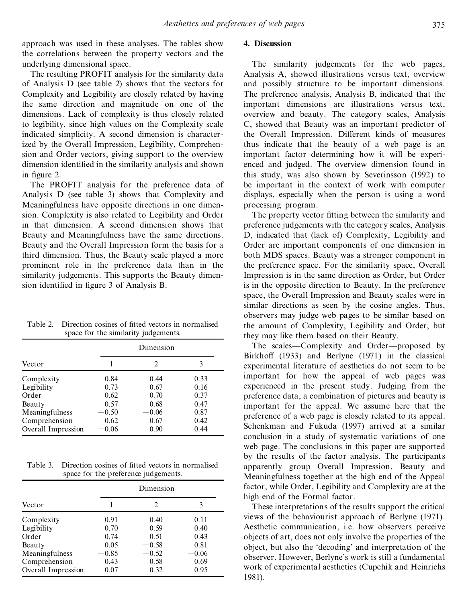approach was used in these analyses. The tables show the correlations between the property vectors and the underlying dimensional space.

The resulting PROFIT analysis for the similarity data of Analysis D (see table 2) shows that the vectors for Complexity and Legibility are closely related by having the same direction and magnitude on one of the dimensions. Lack of complexity is thus closely related to legibility, since high values on the Complexity scale indicated simplicity. A second dimension is characterized by the Overall Impression, Legibility, Comprehension and Order vectors, giving support to the overview dimension identified in the similarity analysis and shown in figure 2.

The PROFIT analysis for the preference data of Analysis D (see table 3) shows that Complexity and Meaningfulness have opposite directions in one dimension. Complexity is also related to Legibility and Order in that dimension. A second dimension shows that Beauty and Meaningfulness have the same directions. Beauty and the Overall Impression form the basis for a third dimension. Thus, the Beauty scale played a more prominent role in the preference data than in the similarity judgements. This supports the Beauty dimension identified in figure 3 of Analysis B.

| Table 2. Direction cosines of fitted vectors in normalised |
|------------------------------------------------------------|
| space for the similarity judgements.                       |

|                    | Dimension |               |         |  |
|--------------------|-----------|---------------|---------|--|
| Vector             |           | $\mathcal{L}$ | 3       |  |
| Complexity         | 0.84      | 0.44          | 0.33    |  |
| Legibility         | 0.73      | 0.67          | 0.16    |  |
| Order              | 0.62      | 0.70          | 0.37    |  |
| Beauty             | $-0.57$   | $-0.68$       | $-0.47$ |  |
| Meaningfulness     | $-0.50$   | $-0.06$       | 0.87    |  |
| Comprehension      | 0.62      | 0.67          | 0.42    |  |
| Overall Impression | $-0.06$   | 0.90          | 0.44    |  |

Table 3. Direction cosines of fitted vectors in normalised space for the preference judgements.

| Vector             |         | $\mathfrak{D}$ | 3       |
|--------------------|---------|----------------|---------|
| Complexity         | 0.91    | 0.40           | $-0.11$ |
| Legibility         | 0.70    | 0.59           | 0.40    |
| Order              | 0.74    | 0.51           | 0.43    |
| Beauty             | 0.05    | $-0.58$        | 0.81    |
| Meaningfulness     | $-0.85$ | $-0.52$        | $-0.06$ |
| Comprehension      | 0.43    | 0.58           | 0.69    |
| Overall Impression | 0.07    | $-0.32$        | 0.95    |

## **4. Discussion**

The similarity judgements for the web pages, Analysis A, showed illustrations versus text, overview and possibly structure to be important dimensions. The preference analysis, Analysis B, indicated that the important dimensions are illustrations versus text, overview and beauty. The category scales, Analysis C, showed that Beauty was an important predictor of the Overall Impression. Different kinds of measures thus indicate that the beauty of a web page is an important factor determining how it will be experienced and judged. The overview dimension found in this study, was also shown by Severinsson (1992) to be important in the context of work with computer displays, especially when the person is using a word processing program.

The property vector fitting between the similarity and preference judgements with the category scales, Analysis D, indicated that (lack of) Complexity, Legibility and Order are important components of one dimension in both MDS spaces. Beauty was a stronger component in the preference space. For the similarity space, Overall Impression is in the same direction as Order, but Order is in the opposite direction to Beauty. In the preference space, the Overall Impression and Beauty scales were in similar directions as seen by the cosine angles. Thus, observers may judge web pages to be similar based on the amount of Complexity, Legibility and Order, but they may like them based on their Beauty.

The scales—Complexity and Order—proposed by Birkhoff (1933) and Berlyne (1971) in the classical experimental literature of aesthetics do not seem to be important for how the appeal of web pages was experienced in the present study. Judging from the preference data, a combination of pictures and beauty is important for the appeal. We assume here that the preference of a web page is closely related to its appeal. Schenkman and Fukuda (1997) arrived at a similar conclusion in a study of systematic variations of one web page. The conclusions in this paper are supported by the results of the factor analysis. The participants apparently group Overall Impression, Beauty and Meaningfulness together at the high end of the Appeal factor, while Order, Legibility and Complexity are at the high end of the Formal factor.

These interpretations of the results support the critical views of the behaviourist approach of Berlyne (1971). Aesthetic communication, i.e. how observers perceive objects of art, does not only involve the properties of the object, but also the `decoding' and interpretation of the observer. However, Berlyne's work is still a fundamental work of experimental aesthetics (Cupchik and Heinrichs 1981).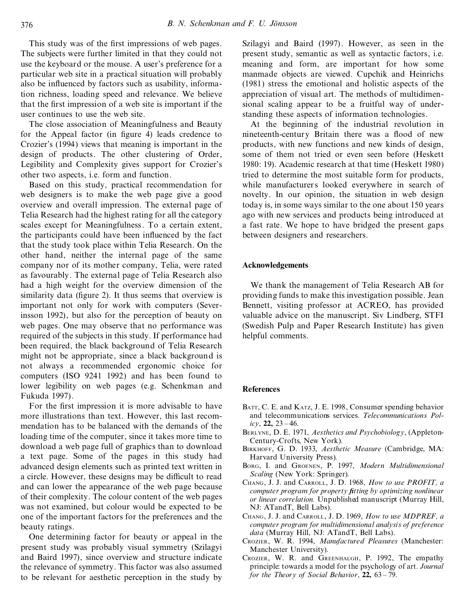This study was of the first impressions of web pages. The subjects were further limited in that they could not use the keyboard or the mouse. A user's preference for a particular web site in a practical situation will probably also be influenced by factors such as usability, information richness, loading speed and relevance. We believe that the first impression of a web site is important if the user continues to use the web site.

The close association of Meaningfulness and Beauty for the Appeal factor (in figure 4) leads credence to Crozier's (1994) views that meaning is important in the design of products. The other clustering of Order, Legibility and Complexity gives support for Crozier's other two aspects, i.e. form and function.

Based on this study, practical recommendation for web designers is to make the web page give a good overview and overall impression. The external page of Telia Research had the highest rating for all the category scales except for Meaningfulness. To a certain extent, the participants could have been influenced by the fact that the study took place within Telia Research. On the other hand, neither the internal page of the same company nor of its mother company, Telia, were rated as favourably. The external page of Telia Research also had a high weight for the overview dimension of the similarity data (figure 2). It thus seems that overview is important not only for work with computers (Severinsson 1992), but also for the perception of beauty on web pages. One may observe that no performance was required of the subjects in this study. If performance had been required, the black background of Telia Research might not be appropriate, since a black background is not always a recommended ergonomic choice for computers (ISO 9241 1992) and has been found to lower legibility on web pages (e.g. Schenkman and Fukuda 1997).

For the first impression it is more advisable to have more illustrations than text. However, this last recom mendation has to be balanced with the demands of the loading time of the computer, since it takes more time to download a web page full of graphics than to download a text page. Some of the pages in this study had advanced design elements such as printed text written in a circle. However, these designs may be difficult to read and can lower the appearance of the web page because of their complexity. The colour content of the web pages was not examined, but colour would be expected to be one of the important factors for the preferences and the beauty ratings.

One determining factor for beauty or appeal in the present study was probably visual symmetry (Szilagyi and Baird 1997), since overview and structure indicate the relevance of symmetry. This factor was also assumed to be relevant for aesthetic perception in the study by

Szilagyi and Baird (1997). However, as seen in the present study, semantic as well as syntactic factors, i.e. meaning and form, are important for how some manmade objects are viewed. Cupchik and Heinrichs (1981) stress the emotional and holistic aspects of the appreciation of visual art. The methods of multidimensional scaling appear to be a fruitful way of understanding these aspects of information technologies.

At the beginning of the industrial revolution in nineteenth-century Britain there was a flood of new products, with new functions and new kinds of design, some of them not tried or even seen before (Heskett 1980: 19). Academic research at that time (Heskett 1980) tried to determine the most suitable form for products, while manufacturers looked everywhere in search of novelty. In our opinion, the situation in web design today is, in some ways similar to the one about 150 years ago with new services and products being introduced at a fast rate. We hope to have bridged the present gaps between designers and researchers.

## **Acknowledgements**

We thank the management of Telia Research AB for providing funds to make this investigation possible. Jean Bennett, visiting professor at ACREO, has provided valuable advice on the manuscript. Siv Lindberg, STFI (Swedish Pulp and Paper Research Institute) has given helpful comments.

#### **References**

- BATT, C. E. and KATZ, J. E. 1998, Consumer spending behavior and telecommunications services. *Telecommunications Pol* $icy$ , **22**,  $23 - 46$ .
- BERLYNE, D. E. 1971, *Aesthetics and Psychobiology*, (Appleton- Century-Crofts, New York).
- BIRKHOFF, G. D. 1933, *Aesthetic Measure* (Cambridge, MA: Harvard University Press).
- BORG, I. and GROENEN, P. 1997, *Modern Multidimensional Scaling* (New York: Springer).
- CHANG, J. J. and CARROLL, J. D. 1968, *How to use PROFIT, a computer program for property ®tting by optimizing nonlinear or linear correlation.* Unpublished manuscript (Murray Hill, NJ: ATandT, Bell Labs).
- CHANG, J. J. and CARROLL, J. D. 1969, *How to use MDPREF, a computer program for multidimensional analysis of preference data* (Murray Hill, NJ: ATandT, Bell Labs).
- CROZIER, W. R. 1994, *Manufactured Pleasures* (Manchester: Manchester University).
- CROZIER, W. R. and GREENHALGH, P. 1992, The empathy principle: towards a model for the psychology of art. *Journal for the Theory of Social Behavior*,  $22$ ,  $63 - 79$ .